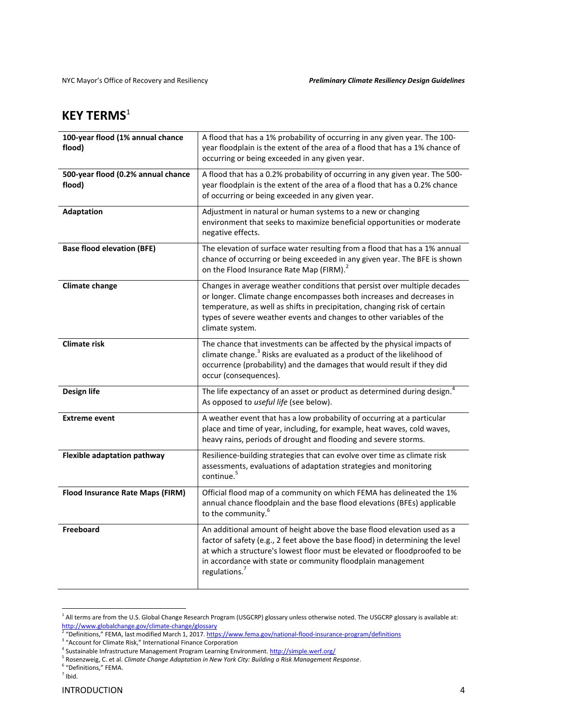## **KEY TERMS**<sup>1</sup>

| 100-year flood (1% annual chance<br>flood)   | A flood that has a 1% probability of occurring in any given year. The 100-<br>year floodplain is the extent of the area of a flood that has a 1% chance of<br>occurring or being exceeded in any given year.                                                                                                                       |
|----------------------------------------------|------------------------------------------------------------------------------------------------------------------------------------------------------------------------------------------------------------------------------------------------------------------------------------------------------------------------------------|
| 500-year flood (0.2% annual chance<br>flood) | A flood that has a 0.2% probability of occurring in any given year. The 500-<br>year floodplain is the extent of the area of a flood that has a 0.2% chance<br>of occurring or being exceeded in any given year.                                                                                                                   |
| Adaptation                                   | Adjustment in natural or human systems to a new or changing<br>environment that seeks to maximize beneficial opportunities or moderate<br>negative effects.                                                                                                                                                                        |
| <b>Base flood elevation (BFE)</b>            | The elevation of surface water resulting from a flood that has a 1% annual<br>chance of occurring or being exceeded in any given year. The BFE is shown<br>on the Flood Insurance Rate Map (FIRM). <sup>2</sup>                                                                                                                    |
| <b>Climate change</b>                        | Changes in average weather conditions that persist over multiple decades<br>or longer. Climate change encompasses both increases and decreases in<br>temperature, as well as shifts in precipitation, changing risk of certain<br>types of severe weather events and changes to other variables of the<br>climate system.          |
| <b>Climate risk</b>                          | The chance that investments can be affected by the physical impacts of<br>climate change. <sup>3</sup> Risks are evaluated as a product of the likelihood of<br>occurrence (probability) and the damages that would result if they did<br>occur (consequences).                                                                    |
| Design life                                  | The life expectancy of an asset or product as determined during design. <sup>4</sup><br>As opposed to useful life (see below).                                                                                                                                                                                                     |
| <b>Extreme event</b>                         | A weather event that has a low probability of occurring at a particular<br>place and time of year, including, for example, heat waves, cold waves,<br>heavy rains, periods of drought and flooding and severe storms.                                                                                                              |
| <b>Flexible adaptation pathway</b>           | Resilience-building strategies that can evolve over time as climate risk<br>assessments, evaluations of adaptation strategies and monitoring<br>continue. <sup>5</sup>                                                                                                                                                             |
| Flood Insurance Rate Maps (FIRM)             | Official flood map of a community on which FEMA has delineated the 1%<br>annual chance floodplain and the base flood elevations (BFEs) applicable<br>to the community. <sup>6</sup>                                                                                                                                                |
| Freeboard                                    | An additional amount of height above the base flood elevation used as a<br>factor of safety (e.g., 2 feet above the base flood) in determining the level<br>at which a structure's lowest floor must be elevated or floodproofed to be<br>in accordance with state or community floodplain management<br>regulations. <sup>7</sup> |

 $1$  All terms are from the U.S. Global Change Research Program (USGCRP) glossary unless otherwise noted. The USGCRP glossary is available at:

<sup>&</sup>lt;u>http://www.globalchange.gov/climate-change/glossary</u><br><sup>2</sup> "Definitions," FEMA, last modified March 1, 2017. <u>https://www.fema.gov/national-flood-insurance-program/definitions</u><br><sup>3</sup> "Account for Climate Risk," International

<sup>&</sup>lt;sup>5</sup> Rosenzweig, C. et al. *Climate Change Adaptation in New York City: Building a Risk Management Response.* <sup>5</sup> "Definitions," FEMA.<br><sup>5</sup> Rosenzweig, C. et al. *Climate Change Adaptation in New York City: Building a Risk M* 

 $<sup>7</sup>$  Ibid.</sup>